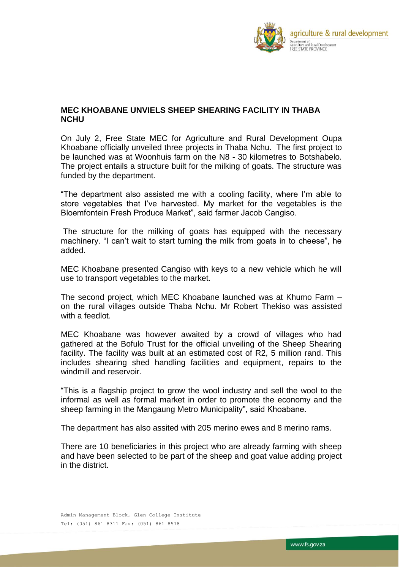

## **MEC KHOABANE UNVIELS SHEEP SHEARING FACILITY IN THABA NCHU**

On July 2, Free State MEC for Agriculture and Rural Development Oupa Khoabane officially unveiled three projects in Thaba Nchu. The first project to be launched was at Woonhuis farm on the N8 - 30 kilometres to Botshabelo. The project entails a structure built for the milking of goats. The structure was funded by the department.

"The department also assisted me with a cooling facility, where I'm able to store vegetables that I've harvested. My market for the vegetables is the Bloemfontein Fresh Produce Market", said farmer Jacob Cangiso.

The structure for the milking of goats has equipped with the necessary machinery. "I can't wait to start turning the milk from goats in to cheese", he added.

MEC Khoabane presented Cangiso with keys to a new vehicle which he will use to transport vegetables to the market.

The second project, which MEC Khoabane launched was at Khumo Farm – on the rural villages outside Thaba Nchu. Mr Robert Thekiso was assisted with a feedlot.

MEC Khoabane was however awaited by a crowd of villages who had gathered at the Bofulo Trust for the official unveiling of the Sheep Shearing facility. The facility was built at an estimated cost of R2, 5 million rand. This includes shearing shed handling facilities and equipment, repairs to the windmill and reservoir.

"This is a flagship project to grow the wool industry and sell the wool to the informal as well as formal market in order to promote the economy and the sheep farming in the Mangaung Metro Municipality", said Khoabane.

The department has also assited with 205 merino ewes and 8 merino rams.

There are 10 beneficiaries in this project who are already farming with sheep and have been selected to be part of the sheep and goat value adding project in the district.

Admin Management Block, Glen College Institute Tel: (051) 861 8311 Fax: (051) 861 8578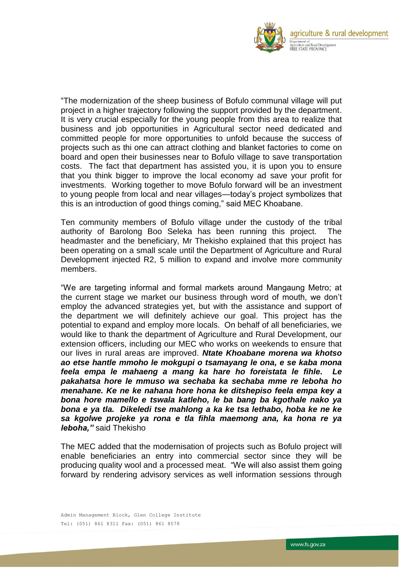

"The modernization of the sheep business of Bofulo communal village will put project in a higher trajectory following the support provided by the department. It is very crucial especially for the young people from this area to realize that business and job opportunities in Agricultural sector need dedicated and committed people for more opportunities to unfold because the success of projects such as thi one can attract clothing and blanket factories to come on board and open their businesses near to Bofulo village to save transportation costs. The fact that department has assisted you, it is upon you to ensure that you think bigger to improve the local economy ad save your profit for investments. Working together to move Bofulo forward will be an investment to young people from local and near villages—today's project symbolizes that this is an introduction of good things coming," said MEC Khoabane.

Ten community members of Bofulo village under the custody of the tribal authority of Barolong Boo Seleka has been running this project. The headmaster and the beneficiary, Mr Thekisho explained that this project has been operating on a small scale until the Department of Agriculture and Rural Development injected R2, 5 million to expand and involve more community members.

"We are targeting informal and formal markets around Mangaung Metro; at the current stage we market our business through word of mouth, we don't employ the advanced strategies yet, but with the assistance and support of the department we will definitely achieve our goal. This project has the potential to expand and employ more locals. On behalf of all beneficiaries, we would like to thank the department of Agriculture and Rural Development, our extension officers, including our MEC who works on weekends to ensure that our lives in rural areas are improved. *Ntate Khoabane morena wa khotso ao etse hantle mmoho le mokgupi o tsamayang le ona, e se kaba mona feela empa le mahaeng a mang ka hare ho foreistata le fihle. Le pakahatsa hore le mmuso wa sechaba ka sechaba mme re leboha ho menahane. Ke ne ke nahana hore hona ke ditshepiso feela empa key a bona hore mamello e tswala katleho, le ba bang ba kgothale nako ya bona e ya tla. Dikeledi tse mahlong a ka ke tsa lethabo, hoba ke ne ke sa kgolwe projeke ya rona e tla fihla maemong ana, ka hona re ya leboha,"* said Thekisho

The MEC added that the modernisation of projects such as Bofulo project will enable beneficiaries an entry into commercial sector since they will be producing quality wool and a processed meat. "We will also assist them going forward by rendering advisory services as well information sessions through